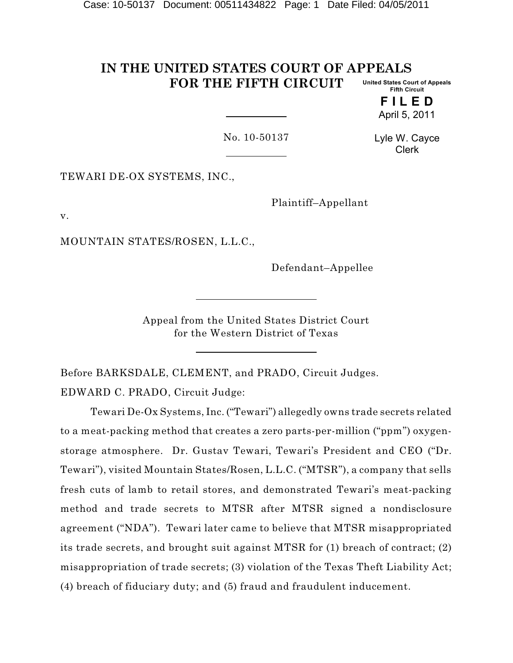#### **IN THE UNITED STATES COURT OF APPEALS FOR THE FIFTH CIRCUIT United States Court of Appeals Fifth Circuit**

**F I L E D** April 5, 2011

No. 10-50137

Lyle W. Cayce Clerk

TEWARI DE-OX SYSTEMS, INC.,

Plaintiff–Appellant

v.

MOUNTAIN STATES/ROSEN, L.L.C.,

Defendant–Appellee

Appeal from the United States District Court for the Western District of Texas

Before BARKSDALE, CLEMENT, and PRADO, Circuit Judges. EDWARD C. PRADO, Circuit Judge:

Tewari De-Ox Systems, Inc. ("Tewari") allegedly owns trade secrets related to a meat-packing method that creates a zero parts-per-million ("ppm") oxygenstorage atmosphere. Dr. Gustav Tewari, Tewari's President and CEO ("Dr. Tewari"), visited Mountain States/Rosen, L.L.C. ("MTSR"), a company that sells fresh cuts of lamb to retail stores, and demonstrated Tewari's meat-packing method and trade secrets to MTSR after MTSR signed a nondisclosure agreement ("NDA"). Tewari later came to believe that MTSR misappropriated its trade secrets, and brought suit against MTSR for (1) breach of contract; (2) misappropriation of trade secrets; (3) violation of the Texas Theft Liability Act; (4) breach of fiduciary duty; and (5) fraud and fraudulent inducement.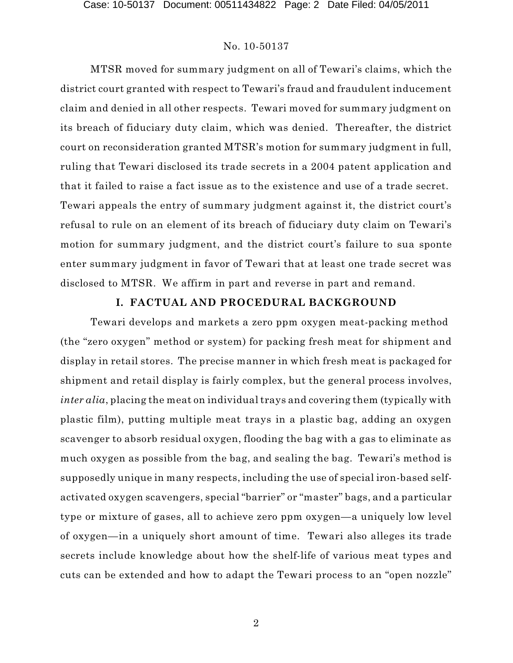MTSR moved for summary judgment on all of Tewari's claims, which the district court granted with respect to Tewari's fraud and fraudulent inducement claim and denied in all other respects. Tewari moved for summary judgment on its breach of fiduciary duty claim, which was denied. Thereafter, the district court on reconsideration granted MTSR's motion for summary judgment in full, ruling that Tewari disclosed its trade secrets in a 2004 patent application and that it failed to raise a fact issue as to the existence and use of a trade secret. Tewari appeals the entry of summary judgment against it, the district court's refusal to rule on an element of its breach of fiduciary duty claim on Tewari's motion for summary judgment, and the district court's failure to sua sponte enter summary judgment in favor of Tewari that at least one trade secret was disclosed to MTSR. We affirm in part and reverse in part and remand.

#### **I. FACTUAL AND PROCEDURAL BACKGROUND**

Tewari develops and markets a zero ppm oxygen meat-packing method (the "zero oxygen" method or system) for packing fresh meat for shipment and display in retail stores. The precise manner in which fresh meat is packaged for shipment and retail display is fairly complex, but the general process involves, *inter alia*, placing the meat on individual trays and covering them (typically with plastic film), putting multiple meat trays in a plastic bag, adding an oxygen scavenger to absorb residual oxygen, flooding the bag with a gas to eliminate as much oxygen as possible from the bag, and sealing the bag. Tewari's method is supposedly unique in many respects, including the use of special iron-based selfactivated oxygen scavengers, special "barrier" or "master" bags, and a particular type or mixture of gases, all to achieve zero ppm oxygen—a uniquely low level of oxygen—in a uniquely short amount of time. Tewari also alleges its trade secrets include knowledge about how the shelf-life of various meat types and cuts can be extended and how to adapt the Tewari process to an "open nozzle"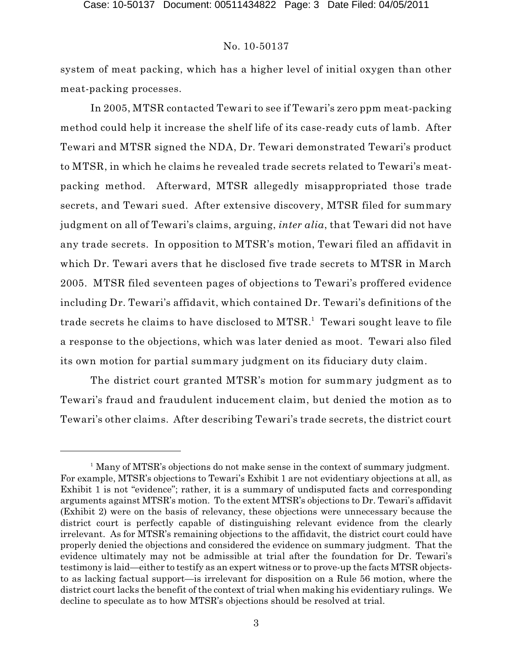system of meat packing, which has a higher level of initial oxygen than other meat-packing processes.

In 2005, MTSR contacted Tewari to see if Tewari's zero ppm meat-packing method could help it increase the shelf life of its case-ready cuts of lamb. After Tewari and MTSR signed the NDA, Dr. Tewari demonstrated Tewari's product to MTSR, in which he claims he revealed trade secrets related to Tewari's meatpacking method. Afterward, MTSR allegedly misappropriated those trade secrets, and Tewari sued. After extensive discovery, MTSR filed for summary judgment on all of Tewari's claims, arguing, *inter alia*, that Tewari did not have any trade secrets. In opposition to MTSR's motion, Tewari filed an affidavit in which Dr. Tewari avers that he disclosed five trade secrets to MTSR in March 2005. MTSR filed seventeen pages of objections to Tewari's proffered evidence including Dr. Tewari's affidavit, which contained Dr. Tewari's definitions of the trade secrets he claims to have disclosed to MTSR. $^{\rm 1}$  Tewari sought leave to file a response to the objections, which was later denied as moot. Tewari also filed its own motion for partial summary judgment on its fiduciary duty claim.

The district court granted MTSR's motion for summary judgment as to Tewari's fraud and fraudulent inducement claim, but denied the motion as to Tewari's other claims. After describing Tewari's trade secrets, the district court

<sup>&</sup>lt;sup>1</sup> Many of MTSR's objections do not make sense in the context of summary judgment. For example, MTSR's objections to Tewari's Exhibit 1 are not evidentiary objections at all, as Exhibit 1 is not "evidence"; rather, it is a summary of undisputed facts and corresponding arguments against MTSR's motion. To the extent MTSR's objections to Dr. Tewari's affidavit (Exhibit 2) were on the basis of relevancy, these objections were unnecessary because the district court is perfectly capable of distinguishing relevant evidence from the clearly irrelevant. As for MTSR's remaining objections to the affidavit, the district court could have properly denied the objections and considered the evidence on summary judgment. That the evidence ultimately may not be admissible at trial after the foundation for Dr. Tewari's testimony is laid—either to testify as an expert witness or to prove-up the facts MTSR objectsto as lacking factual support—is irrelevant for disposition on a Rule 56 motion, where the district court lacks the benefit of the context of trial when making his evidentiary rulings. We decline to speculate as to how MTSR's objections should be resolved at trial.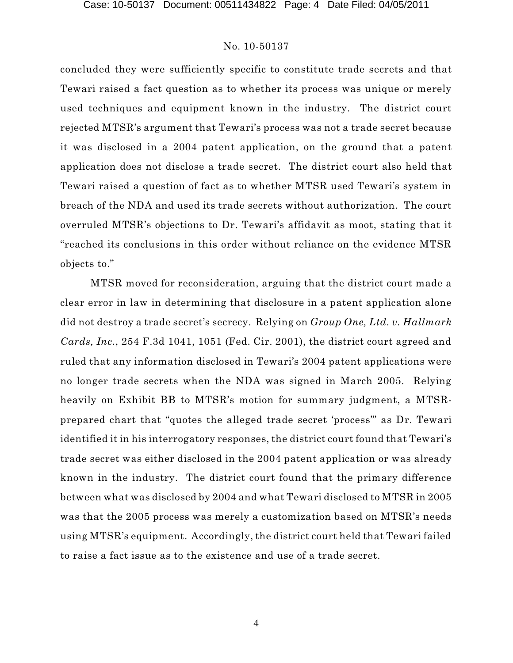concluded they were sufficiently specific to constitute trade secrets and that Tewari raised a fact question as to whether its process was unique or merely used techniques and equipment known in the industry. The district court rejected MTSR's argument that Tewari's process was not a trade secret because it was disclosed in a 2004 patent application, on the ground that a patent application does not disclose a trade secret. The district court also held that Tewari raised a question of fact as to whether MTSR used Tewari's system in breach of the NDA and used its trade secrets without authorization. The court overruled MTSR's objections to Dr. Tewari's affidavit as moot, stating that it "reached its conclusions in this order without reliance on the evidence MTSR objects to."

MTSR moved for reconsideration, arguing that the district court made a clear error in law in determining that disclosure in a patent application alone did not destroy a trade secret's secrecy. Relying on *Group One, Ltd. v. Hallmark Cards, Inc.*, 254 F.3d 1041, 1051 (Fed. Cir. 2001), the district court agreed and ruled that any information disclosed in Tewari's 2004 patent applications were no longer trade secrets when the NDA was signed in March 2005. Relying heavily on Exhibit BB to MTSR's motion for summary judgment, a MTSRprepared chart that "quotes the alleged trade secret 'process'" as Dr. Tewari identified it in his interrogatory responses, the district court found that Tewari's trade secret was either disclosed in the 2004 patent application or was already known in the industry. The district court found that the primary difference between what was disclosed by 2004 and what Tewari disclosed to MTSR in 2005 was that the 2005 process was merely a customization based on MTSR's needs using MTSR's equipment. Accordingly, the district court held that Tewari failed to raise a fact issue as to the existence and use of a trade secret.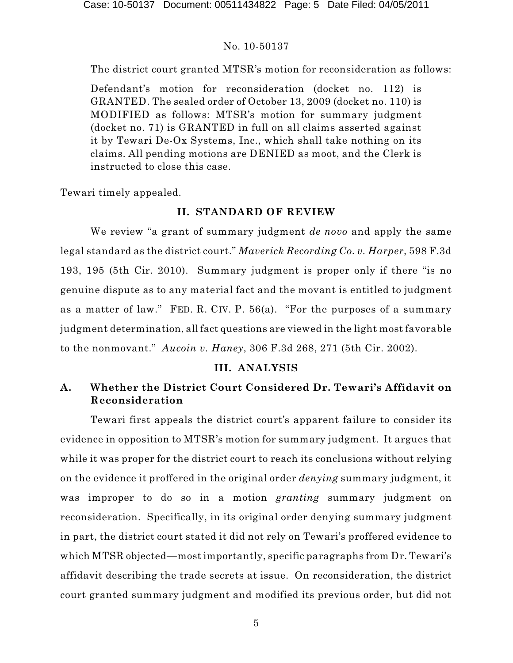The district court granted MTSR's motion for reconsideration as follows:

Defendant's motion for reconsideration (docket no. 112) is GRANTED. The sealed order of October 13, 2009 (docket no. 110) is MODIFIED as follows: MTSR's motion for summary judgment (docket no. 71) is GRANTED in full on all claims asserted against it by Tewari De-Ox Systems, Inc., which shall take nothing on its claims. All pending motions are DENIED as moot, and the Clerk is instructed to close this case.

Tewari timely appealed.

# **II. STANDARD OF REVIEW**

We review "a grant of summary judgment *de novo* and apply the same legal standard as the district court." *Maverick Recording Co. v. Harper*, 598 F.3d 193, 195 (5th Cir. 2010). Summary judgment is proper only if there "is no genuine dispute as to any material fact and the movant is entitled to judgment as a matter of law." FED. R. CIV. P. 56(a). "For the purposes of a summary judgment determination, all fact questions are viewed in the light most favorable to the nonmovant." *Aucoin v. Haney*, 306 F.3d 268, 271 (5th Cir. 2002).

# **III. ANALYSIS**

# **A. Whether the District Court Considered Dr. Tewari's Affidavit on Reconsideration**

Tewari first appeals the district court's apparent failure to consider its evidence in opposition to MTSR's motion for summary judgment. It argues that while it was proper for the district court to reach its conclusions without relying on the evidence it proffered in the original order *denying* summary judgment, it was improper to do so in a motion *granting* summary judgment on reconsideration. Specifically, in its original order denying summary judgment in part, the district court stated it did not rely on Tewari's proffered evidence to which MTSR objected—most importantly, specific paragraphs from Dr. Tewari's affidavit describing the trade secrets at issue. On reconsideration, the district court granted summary judgment and modified its previous order, but did not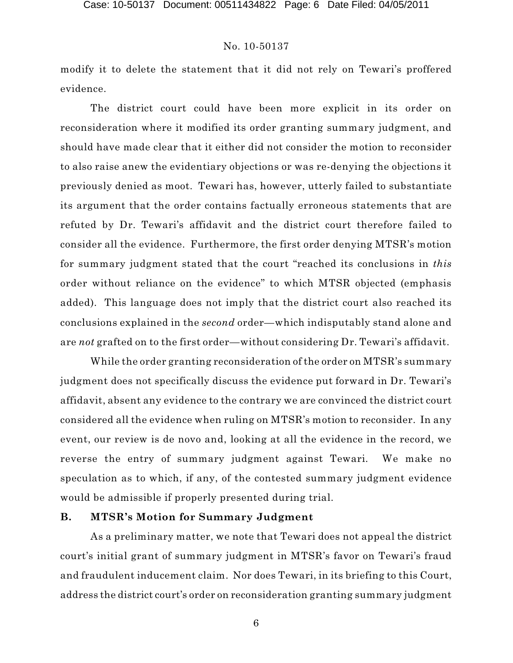modify it to delete the statement that it did not rely on Tewari's proffered evidence.

The district court could have been more explicit in its order on reconsideration where it modified its order granting summary judgment, and should have made clear that it either did not consider the motion to reconsider to also raise anew the evidentiary objections or was re-denying the objections it previously denied as moot. Tewari has, however, utterly failed to substantiate its argument that the order contains factually erroneous statements that are refuted by Dr. Tewari's affidavit and the district court therefore failed to consider all the evidence. Furthermore, the first order denying MTSR's motion for summary judgment stated that the court "reached its conclusions in *this* order without reliance on the evidence" to which MTSR objected (emphasis added). This language does not imply that the district court also reached its conclusions explained in the *second* order—which indisputably stand alone and are *not* grafted on to the first order—without considering Dr. Tewari's affidavit.

While the order granting reconsideration of the order on MTSR's summary judgment does not specifically discuss the evidence put forward in Dr. Tewari's affidavit, absent any evidence to the contrary we are convinced the district court considered all the evidence when ruling on MTSR's motion to reconsider. In any event, our review is de novo and, looking at all the evidence in the record, we reverse the entry of summary judgment against Tewari. We make no speculation as to which, if any, of the contested summary judgment evidence would be admissible if properly presented during trial.

# **B. MTSR's Motion for Summary Judgment**

As a preliminary matter, we note that Tewari does not appeal the district court's initial grant of summary judgment in MTSR's favor on Tewari's fraud and fraudulent inducement claim. Nor does Tewari, in its briefing to this Court, address the district court's order on reconsideration granting summary judgment

6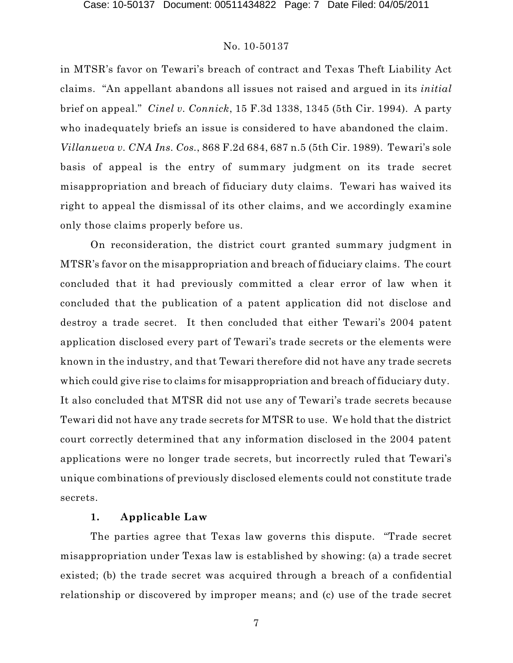in MTSR's favor on Tewari's breach of contract and Texas Theft Liability Act claims. "An appellant abandons all issues not raised and argued in its *initial* brief on appeal." *Cinel v. Connick*, 15 F.3d 1338, 1345 (5th Cir. 1994). A party who inadequately briefs an issue is considered to have abandoned the claim. *Villanueva v. CNA Ins. Cos.*, 868 F.2d 684, 687 n.5 (5th Cir. 1989). Tewari's sole basis of appeal is the entry of summary judgment on its trade secret misappropriation and breach of fiduciary duty claims. Tewari has waived its right to appeal the dismissal of its other claims, and we accordingly examine only those claims properly before us.

On reconsideration, the district court granted summary judgment in MTSR's favor on the misappropriation and breach of fiduciary claims. The court concluded that it had previously committed a clear error of law when it concluded that the publication of a patent application did not disclose and destroy a trade secret. It then concluded that either Tewari's 2004 patent application disclosed every part of Tewari's trade secrets or the elements were known in the industry, and that Tewari therefore did not have any trade secrets which could give rise to claims for misappropriation and breach of fiduciary duty. It also concluded that MTSR did not use any of Tewari's trade secrets because Tewari did not have any trade secrets for MTSR to use. We hold that the district court correctly determined that any information disclosed in the 2004 patent applications were no longer trade secrets, but incorrectly ruled that Tewari's unique combinations of previously disclosed elements could not constitute trade secrets.

# **1. Applicable Law**

The parties agree that Texas law governs this dispute. "Trade secret misappropriation under Texas law is established by showing: (a) a trade secret existed; (b) the trade secret was acquired through a breach of a confidential relationship or discovered by improper means; and (c) use of the trade secret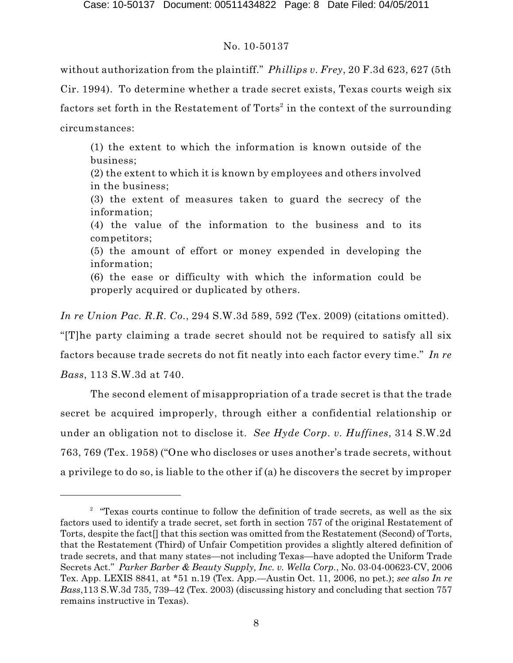without authorization from the plaintiff." *Phillips v. Frey*, 20 F.3d 623, 627 (5th Cir. 1994). To determine whether a trade secret exists, Texas courts weigh six factors set forth in the Restatement of  $\mathrm{Torts}^2$  in the context of the surrounding circumstances:

(1) the extent to which the information is known outside of the business;

(2) the extent to which it is known by employees and others involved in the business;

(3) the extent of measures taken to guard the secrecy of the information;

(4) the value of the information to the business and to its competitors;

(5) the amount of effort or money expended in developing the information;

(6) the ease or difficulty with which the information could be properly acquired or duplicated by others.

*In re Union Pac. R.R. Co.*, 294 S.W.3d 589, 592 (Tex. 2009) (citations omitted).

"[T]he party claiming a trade secret should not be required to satisfy all six factors because trade secrets do not fit neatly into each factor every time." *In re*

*Bass*, 113 S.W.3d at 740.

The second element of misappropriation of a trade secret is that the trade secret be acquired improperly, through either a confidential relationship or under an obligation not to disclose it. *See Hyde Corp. v. Huffines*, 314 S.W.2d 763, 769 (Tex. 1958) ("One who discloses or uses another's trade secrets, without a privilege to do so, is liable to the other if (a) he discovers the secret by improper

 $2^{\circ}$  "Texas courts continue to follow the definition of trade secrets, as well as the six factors used to identify a trade secret, set forth in section 757 of the original Restatement of Torts, despite the fact[] that this section was omitted from the Restatement (Second) of Torts, that the Restatement (Third) of Unfair Competition provides a slightly altered definition of trade secrets, and that many states—not including Texas—have adopted the Uniform Trade Secrets Act." *Parker Barber & Beauty Supply, Inc. v. Wella Corp.*, No. 03-04-00623-CV, 2006 Tex. App. LEXIS 8841, at \*51 n.19 (Tex. App.—Austin Oct. 11, 2006, no pet.); *see also In re Bass*,113 S.W.3d 735, 739–42 (Tex. 2003) (discussing history and concluding that section 757 remains instructive in Texas).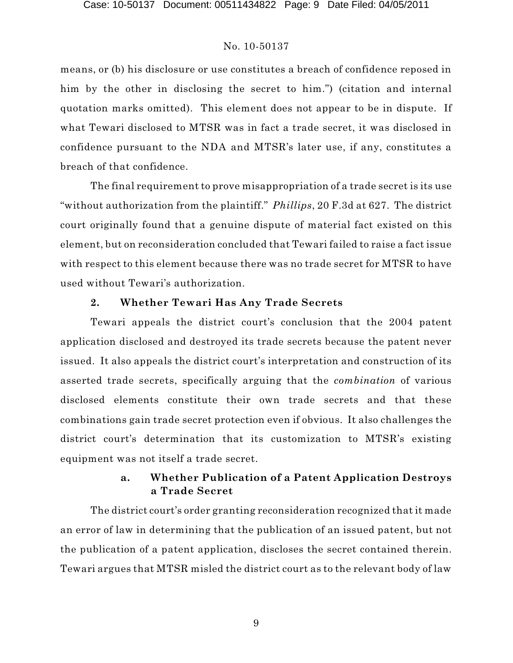means, or (b) his disclosure or use constitutes a breach of confidence reposed in him by the other in disclosing the secret to him.") (citation and internal quotation marks omitted). This element does not appear to be in dispute. If what Tewari disclosed to MTSR was in fact a trade secret, it was disclosed in confidence pursuant to the NDA and MTSR's later use, if any, constitutes a breach of that confidence.

The final requirement to prove misappropriation of a trade secret is its use "without authorization from the plaintiff." *Phillips*, 20 F.3d at 627. The district court originally found that a genuine dispute of material fact existed on this element, but on reconsideration concluded that Tewari failed to raise a fact issue with respect to this element because there was no trade secret for MTSR to have used without Tewari's authorization.

# **2. Whether Tewari Has Any Trade Secrets**

Tewari appeals the district court's conclusion that the 2004 patent application disclosed and destroyed its trade secrets because the patent never issued. It also appeals the district court's interpretation and construction of its asserted trade secrets, specifically arguing that the *combination* of various disclosed elements constitute their own trade secrets and that these combinations gain trade secret protection even if obvious. It also challenges the district court's determination that its customization to MTSR's existing equipment was not itself a trade secret.

# **a. Whether Publication of a Patent Application Destroys a Trade Secret**

The district court's order granting reconsideration recognized that it made an error of law in determining that the publication of an issued patent, but not the publication of a patent application, discloses the secret contained therein. Tewari argues that MTSR misled the district court as to the relevant body of law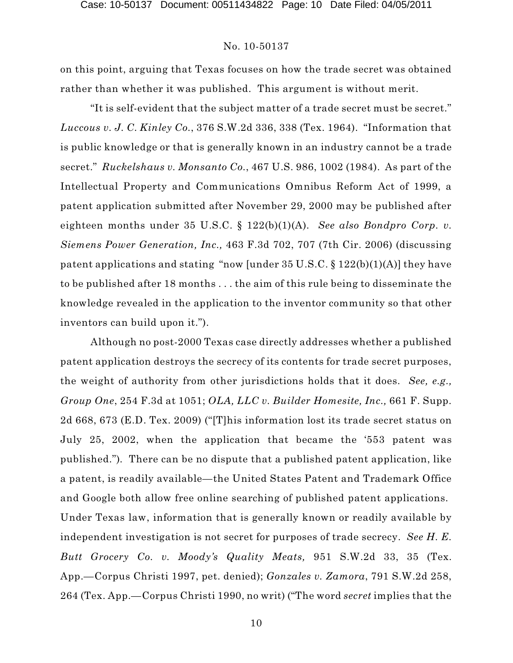on this point, arguing that Texas focuses on how the trade secret was obtained rather than whether it was published. This argument is without merit.

"It is self-evident that the subject matter of a trade secret must be secret." *Luccous v. J. C. Kinley Co.*, 376 S.W.2d 336, 338 (Tex. 1964). "Information that is public knowledge or that is generally known in an industry cannot be a trade secret." *Ruckelshaus v. Monsanto Co.*, 467 U.S. 986, 1002 (1984). As part of the Intellectual Property and Communications Omnibus Reform Act of 1999, a patent application submitted after November 29, 2000 may be published after eighteen months under 35 U.S.C. § 122(b)(1)(A). *See also Bondpro Corp. v. Siemens Power Generation, Inc.,* 463 F.3d 702, 707 (7th Cir. 2006) (discussing patent applications and stating "now [under 35 U.S.C. § 122(b)(1)(A)] they have to be published after 18 months . . . the aim of this rule being to disseminate the knowledge revealed in the application to the inventor community so that other inventors can build upon it.").

Although no post-2000 Texas case directly addresses whether a published patent application destroys the secrecy of its contents for trade secret purposes, the weight of authority from other jurisdictions holds that it does. *See, e.g., Group One*, 254 F.3d at 1051; *OLA, LLC v. Builder Homesite, Inc.,* 661 F. Supp. 2d 668, 673 (E.D. Tex. 2009) ("[T]his information lost its trade secret status on July 25, 2002, when the application that became the '553 patent was published.")*.* There can be no dispute that a published patent application, like a patent, is readily available—the United States Patent and Trademark Office and Google both allow free online searching of published patent applications. Under Texas law, information that is generally known or readily available by independent investigation is not secret for purposes of trade secrecy. *See H. E. Butt Grocery Co. v. Moody's Quality Meats,* 951 S.W.2d 33, 35 (Tex. App.—Corpus Christi 1997, pet. denied); *Gonzales v. Zamora*, 791 S.W.2d 258, 264 (Tex. App.—Corpus Christi 1990, no writ) ("The word *secret* implies that the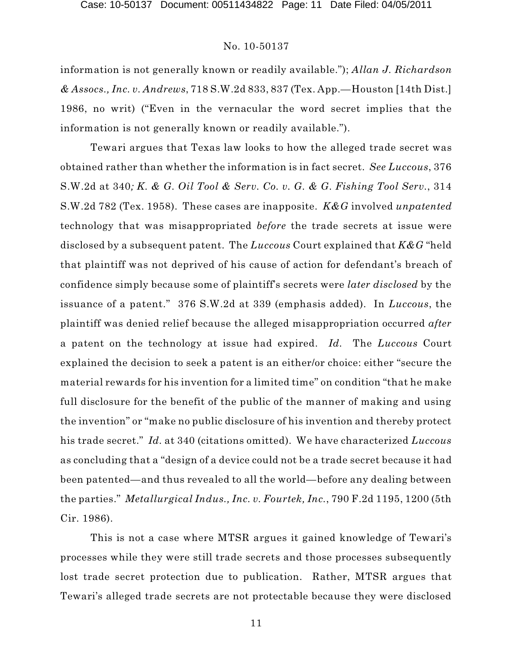information is not generally known or readily available."); *Allan J. Richardson & Assocs., Inc. v. Andrews*, 718 S.W.2d 833, 837 (Tex. App.—Houston [14th Dist.] 1986, no writ) ("Even in the vernacular the word secret implies that the information is not generally known or readily available.").

Tewari argues that Texas law looks to how the alleged trade secret was obtained rather than whether the information is in fact secret. *See Luccous*, 376 S.W.2d at 340*; K. & G. Oil Tool & Serv. Co. v. G. & G. Fishing Tool Serv.*, 314 S.W.2d 782 (Tex. 1958). These cases are inapposite. *K&G* involved *unpatented* technology that was misappropriated *before* the trade secrets at issue were disclosed by a subsequent patent. The *Luccous* Court explained that *K&G* "held that plaintiff was not deprived of his cause of action for defendant's breach of confidence simply because some of plaintiff's secrets were *later disclosed* by the issuance of a patent." 376 S.W.2d at 339 (emphasis added). In *Luccous*, the plaintiff was denied relief because the alleged misappropriation occurred *after* a patent on the technology at issue had expired. *Id.* The *Luccous* Court explained the decision to seek a patent is an either/or choice: either "secure the material rewards for his invention for a limited time" on condition "that he make full disclosure for the benefit of the public of the manner of making and using the invention" or "make no public disclosure of his invention and thereby protect his trade secret." *Id.* at 340 (citations omitted). We have characterized *Luccous* as concluding that a "design of a device could not be a trade secret because it had been patented—and thus revealed to all the world—before any dealing between the parties." *Metallurgical Indus., Inc. v. Fourtek, Inc.*, 790 F.2d 1195, 1200 (5th Cir. 1986).

This is not a case where MTSR argues it gained knowledge of Tewari's processes while they were still trade secrets and those processes subsequently lost trade secret protection due to publication. Rather, MTSR argues that Tewari's alleged trade secrets are not protectable because they were disclosed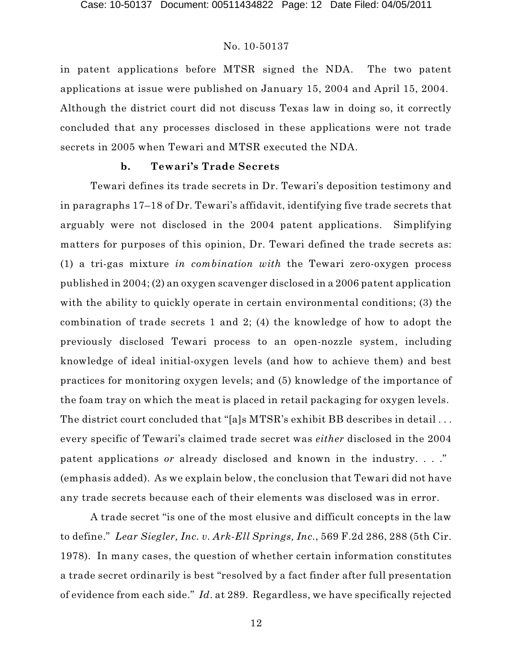in patent applications before MTSR signed the NDA. The two patent applications at issue were published on January 15, 2004 and April 15, 2004. Although the district court did not discuss Texas law in doing so, it correctly concluded that any processes disclosed in these applications were not trade secrets in 2005 when Tewari and MTSR executed the NDA.

# **b. Tewari's Trade Secrets**

Tewari defines its trade secrets in Dr. Tewari's deposition testimony and in paragraphs 17–18 of Dr. Tewari's affidavit, identifying five trade secrets that arguably were not disclosed in the 2004 patent applications. Simplifying matters for purposes of this opinion, Dr. Tewari defined the trade secrets as: (1) a tri-gas mixture *in combination with* the Tewari zero-oxygen process published in 2004; (2) an oxygen scavenger disclosed in a 2006 patent application with the ability to quickly operate in certain environmental conditions; (3) the combination of trade secrets 1 and 2; (4) the knowledge of how to adopt the previously disclosed Tewari process to an open-nozzle system, including knowledge of ideal initial-oxygen levels (and how to achieve them) and best practices for monitoring oxygen levels; and (5) knowledge of the importance of the foam tray on which the meat is placed in retail packaging for oxygen levels. The district court concluded that "[a]s MTSR's exhibit BB describes in detail . . . every specific of Tewari's claimed trade secret was *either* disclosed in the 2004 patent applications *or* already disclosed and known in the industry. . . ." (emphasis added). As we explain below, the conclusion that Tewari did not have any trade secrets because each of their elements was disclosed was in error.

A trade secret "is one of the most elusive and difficult concepts in the law to define." *Lear Siegler, Inc. v. Ark-Ell Springs, Inc.*, 569 F.2d 286, 288 (5th Cir. 1978). In many cases, the question of whether certain information constitutes a trade secret ordinarily is best "resolved by a fact finder after full presentation of evidence from each side." *Id*. at 289. Regardless, we have specifically rejected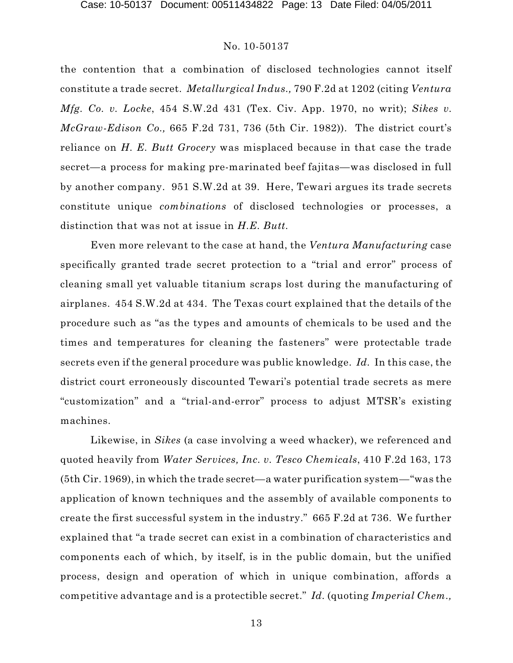the contention that a combination of disclosed technologies cannot itself constitute a trade secret. *Metallurgical Indus.,* 790 F.2d at 1202 (citing *Ventura Mfg. Co. v. Locke*, 454 S.W.2d 431 (Tex. Civ. App. 1970, no writ); *Sikes v. McGraw-Edison Co.,* 665 F.2d 731, 736 (5th Cir. 1982)). The district court's reliance on *H. E. Butt Grocery* was misplaced because in that case the trade secret—a process for making pre-marinated beef fajitas—was disclosed in full by another company. 951 S.W.2d at 39. Here, Tewari argues its trade secrets constitute unique *combinations* of disclosed technologies or processes, a distinction that was not at issue in *H.E. Butt*.

Even more relevant to the case at hand, the *Ventura Manufacturing* case specifically granted trade secret protection to a "trial and error" process of cleaning small yet valuable titanium scraps lost during the manufacturing of airplanes. 454 S.W.2d at 434. The Texas court explained that the details of the procedure such as "as the types and amounts of chemicals to be used and the times and temperatures for cleaning the fasteners" were protectable trade secrets even if the general procedure was public knowledge. *Id.* In this case, the district court erroneously discounted Tewari's potential trade secrets as mere "customization" and a "trial-and-error" process to adjust MTSR's existing machines.

Likewise, in *Sikes* (a case involving a weed whacker), we referenced and quoted heavily from *Water Services, Inc. v. Tesco Chemicals*, 410 F.2d 163, 173 (5th Cir. 1969), in which the trade secret—a water purification system—"was the application of known techniques and the assembly of available components to create the first successful system in the industry." 665 F.2d at 736. We further explained that "a trade secret can exist in a combination of characteristics and components each of which, by itself, is in the public domain, but the unified process, design and operation of which in unique combination, affords a competitive advantage and is a protectible secret." *Id.* (quoting *Imperial Chem.,*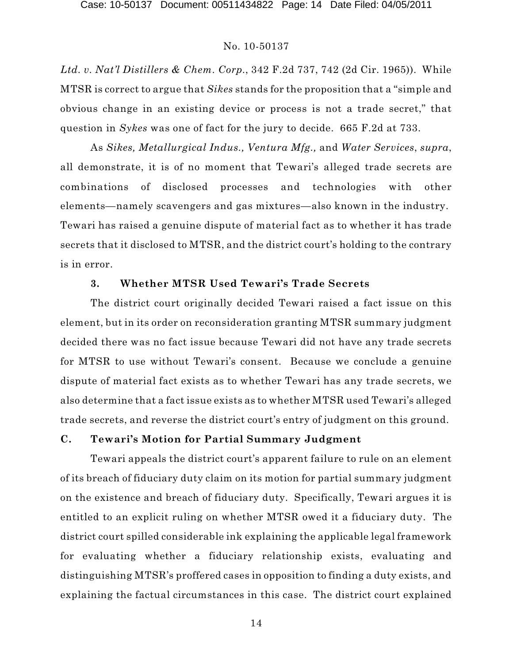*Ltd. v. Nat'l Distillers & Chem. Corp.*, 342 F.2d 737, 742 (2d Cir. 1965)). While MTSR is correct to argue that *Sikes* stands for the proposition that a "simple and obvious change in an existing device or process is not a trade secret," that question in *Sykes* was one of fact for the jury to decide. 665 F.2d at 733.

As *Sikes, Metallurgical Indus., Ventura Mfg.,* and *Water Services*, *supra*, all demonstrate, it is of no moment that Tewari's alleged trade secrets are combinations of disclosed processes and technologies with other elements—namely scavengers and gas mixtures—also known in the industry. Tewari has raised a genuine dispute of material fact as to whether it has trade secrets that it disclosed to MTSR, and the district court's holding to the contrary is in error.

# **3. Whether MTSR Used Tewari's Trade Secrets**

The district court originally decided Tewari raised a fact issue on this element, but in its order on reconsideration granting MTSR summary judgment decided there was no fact issue because Tewari did not have any trade secrets for MTSR to use without Tewari's consent. Because we conclude a genuine dispute of material fact exists as to whether Tewari has any trade secrets, we also determine that a fact issue exists as to whether MTSR used Tewari's alleged trade secrets, and reverse the district court's entry of judgment on this ground.

#### **C. Tewari's Motion for Partial Summary Judgment**

Tewari appeals the district court's apparent failure to rule on an element of its breach of fiduciary duty claim on its motion for partial summary judgment on the existence and breach of fiduciary duty. Specifically, Tewari argues it is entitled to an explicit ruling on whether MTSR owed it a fiduciary duty. The district court spilled considerable ink explaining the applicable legal framework for evaluating whether a fiduciary relationship exists, evaluating and distinguishing MTSR's proffered cases in opposition to finding a duty exists, and explaining the factual circumstances in this case. The district court explained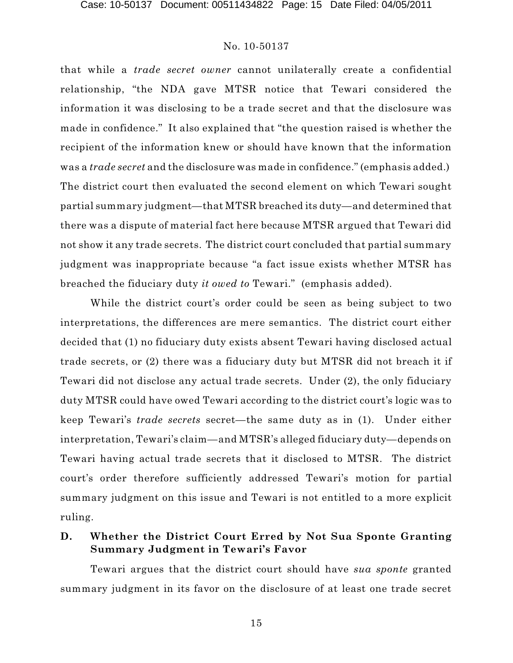that while a *trade secret owner* cannot unilaterally create a confidential relationship, "the NDA gave MTSR notice that Tewari considered the information it was disclosing to be a trade secret and that the disclosure was made in confidence." It also explained that "the question raised is whether the recipient of the information knew or should have known that the information was a *trade secret* and the disclosure was made in confidence." (emphasis added.) The district court then evaluated the second element on which Tewari sought partial summary judgment—that MTSR breached its duty—and determined that there was a dispute of material fact here because MTSR argued that Tewari did not show it any trade secrets. The district court concluded that partial summary judgment was inappropriate because "a fact issue exists whether MTSR has breached the fiduciary duty *it owed to* Tewari." (emphasis added).

While the district court's order could be seen as being subject to two interpretations, the differences are mere semantics. The district court either decided that (1) no fiduciary duty exists absent Tewari having disclosed actual trade secrets, or (2) there was a fiduciary duty but MTSR did not breach it if Tewari did not disclose any actual trade secrets. Under (2), the only fiduciary duty MTSR could have owed Tewari according to the district court's logic was to keep Tewari's *trade secrets* secret—the same duty as in (1). Under either interpretation, Tewari's claim—and MTSR's alleged fiduciary duty—depends on Tewari having actual trade secrets that it disclosed to MTSR. The district court's order therefore sufficiently addressed Tewari's motion for partial summary judgment on this issue and Tewari is not entitled to a more explicit ruling.

# **D. Whether the District Court Erred by Not Sua Sponte Granting Summary Judgment in Tewari's Favor**

Tewari argues that the district court should have *sua sponte* granted summary judgment in its favor on the disclosure of at least one trade secret